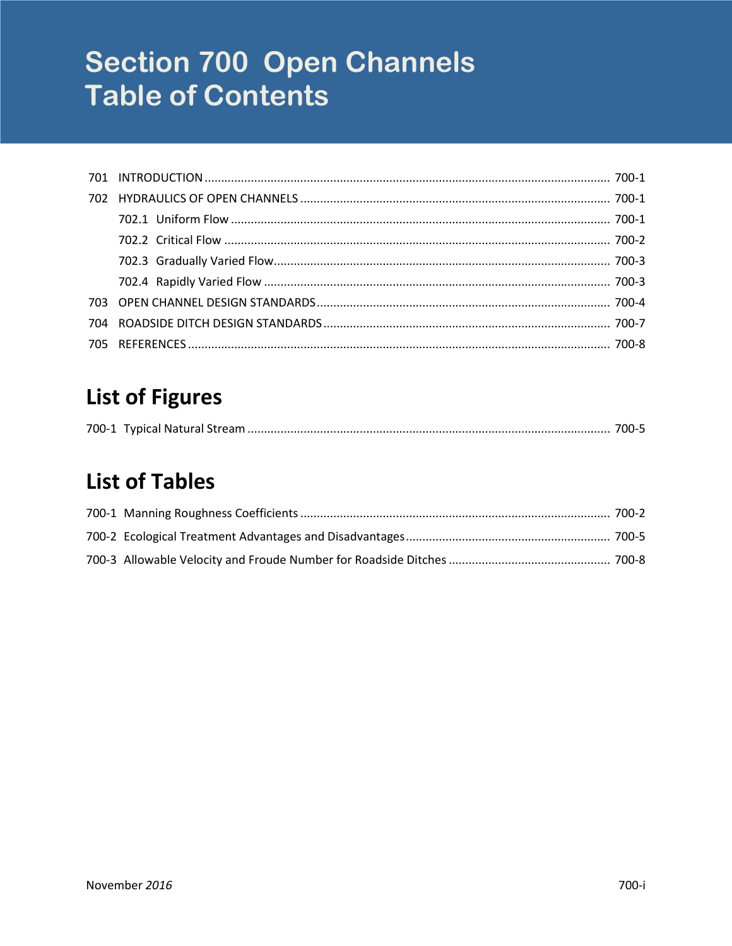# **Section 700 Open Channels Table of Contents**

## **List of Figures**

## **List of Tables**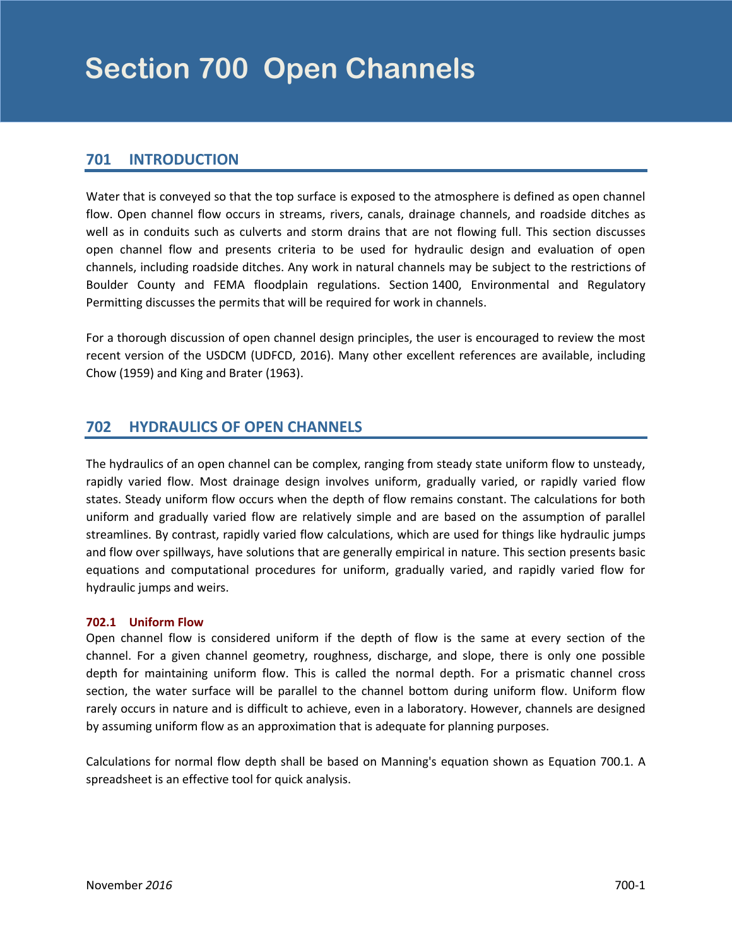### <span id="page-2-0"></span>**701 INTRODUCTION**

Water that is conveyed so that the top surface is exposed to the atmosphere is defined as open channel flow. Open channel flow occurs in streams, rivers, canals, drainage channels, and roadside ditches as well as in conduits such as culverts and storm drains that are not flowing full. This section discusses open channel flow and presents criteria to be used for hydraulic design and evaluation of open channels, including roadside ditches. Any work in natural channels may be subject to the restrictions of Boulder County and FEMA floodplain regulations. Section 1400, Environmental and Regulatory Permitting discusses the permits that will be required for work in channels.

For a thorough discussion of open channel design principles, the user is encouraged to review the most recent version of the USDCM (UDFCD, 2016). Many other excellent references are available, including Chow (1959) and King and Brater (1963).

## **702 HYDRAULICS OF OPEN CHANNELS**

The hydraulics of an open channel can be complex, ranging from steady state uniform flow to unsteady, rapidly varied flow. Most drainage design involves uniform, gradually varied, or rapidly varied flow states. Steady uniform flow occurs when the depth of flow remains constant. The calculations for both uniform and gradually varied flow are relatively simple and are based on the assumption of parallel streamlines. By contrast, rapidly varied flow calculations, which are used for things like hydraulic jumps and flow over spillways, have solutions that are generally empirical in nature. This section presents basic equations and computational procedures for uniform, gradually varied, and rapidly varied flow for hydraulic jumps and weirs.

#### **702.1 Uniform Flow**

Open channel flow is considered uniform if the depth of flow is the same at every section of the channel. For a given channel geometry, roughness, discharge, and slope, there is only one possible depth for maintaining uniform flow. This is called the normal depth. For a prismatic channel cross section, the water surface will be parallel to the channel bottom during uniform flow. Uniform flow rarely occurs in nature and is difficult to achieve, even in a laboratory. However, channels are designed by assuming uniform flow as an approximation that is adequate for planning purposes.

Calculations for normal flow depth shall be based on Manning's equation shown as Equation 700.1. A spreadsheet is an effective tool for quick analysis.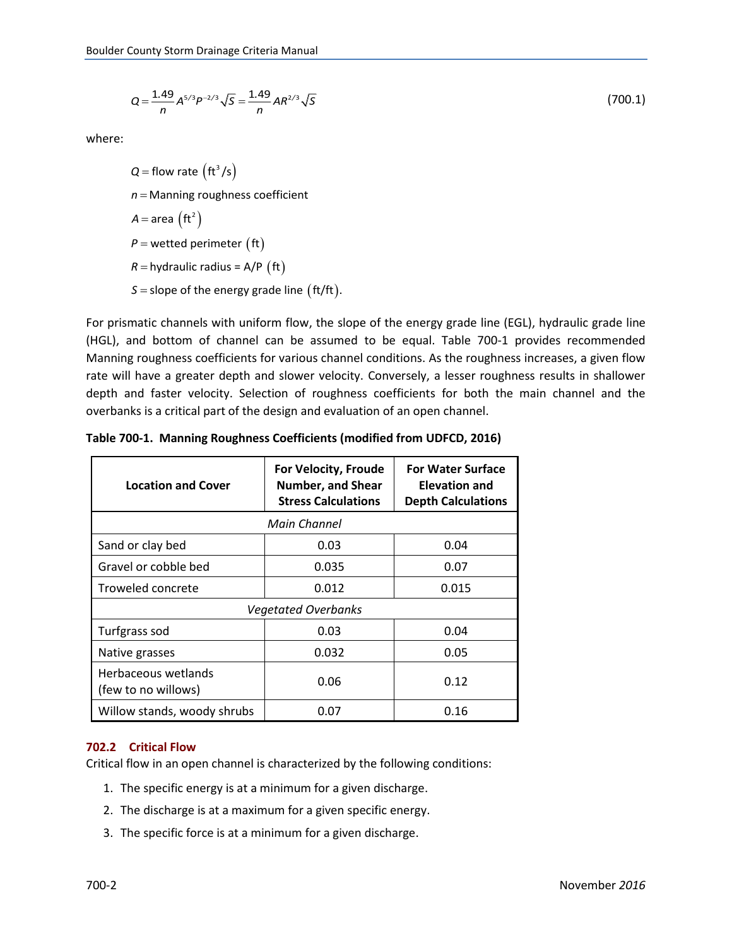$$
Q = \frac{1.49}{n} A^{5/3} P^{-2/3} \sqrt{S} = \frac{1.49}{n} A R^{2/3} \sqrt{S}
$$
 (700.1)

<span id="page-3-0"></span>where:

 $Q =$  flow rate  $\left(\frac{\text{ft}^3}{\text{s}}\right)$  $A = \text{area } (\text{ft}^2)$  $P$  = wetted perimeter  $\begin{pmatrix} \text{ft} \end{pmatrix}$  $R=$  hydraulic radius = A/P  $\left(\operatorname{ft}\right)$  $S =$  slope of the energy grade line  $({\sf ft}/{\sf ft})$ . *n* = Manning roughness coefficient

For prismatic channels with uniform flow, the slope of the energy grade line (EGL), hydraulic grade line (HGL), and bottom of channel can be assumed to be equal. Table 700-1 provides recommended Manning roughness coefficients for various channel conditions. As the roughness increases, a given flow rate will have a greater depth and slower velocity. Conversely, a lesser roughness results in shallower depth and faster velocity. Selection of roughness coefficients for both the main channel and the overbanks is a critical part of the design and evaluation of an open channel.

| <b>Location and Cover</b>                  | <b>For Velocity, Froude</b><br>Number, and Shear<br><b>Stress Calculations</b> | <b>For Water Surface</b><br><b>Elevation and</b><br><b>Depth Calculations</b> |  |  |
|--------------------------------------------|--------------------------------------------------------------------------------|-------------------------------------------------------------------------------|--|--|
| Main Channel                               |                                                                                |                                                                               |  |  |
| Sand or clay bed                           | 0.03                                                                           | 0.04                                                                          |  |  |
| Gravel or cobble bed                       | 0.035                                                                          | 0.07                                                                          |  |  |
| Troweled concrete                          | 0.012                                                                          | 0.015                                                                         |  |  |
| <b>Vegetated Overbanks</b>                 |                                                                                |                                                                               |  |  |
| Turfgrass sod                              | 0.03                                                                           | 0.04                                                                          |  |  |
| Native grasses                             | 0.032                                                                          | 0.05                                                                          |  |  |
| Herbaceous wetlands<br>(few to no willows) | 0.06                                                                           | 0.12                                                                          |  |  |
| Willow stands, woody shrubs                | 0.07                                                                           | 0.16                                                                          |  |  |

**Table 700-1. Manning Roughness Coefficients (modified from UDFCD, 2016)**

#### **702.2 Critical Flow**

Critical flow in an open channel is characterized by the following conditions:

- 1. The specific energy is at a minimum for a given discharge.
- 2. The discharge is at a maximum for a given specific energy.
- 3. The specific force is at a minimum for a given discharge.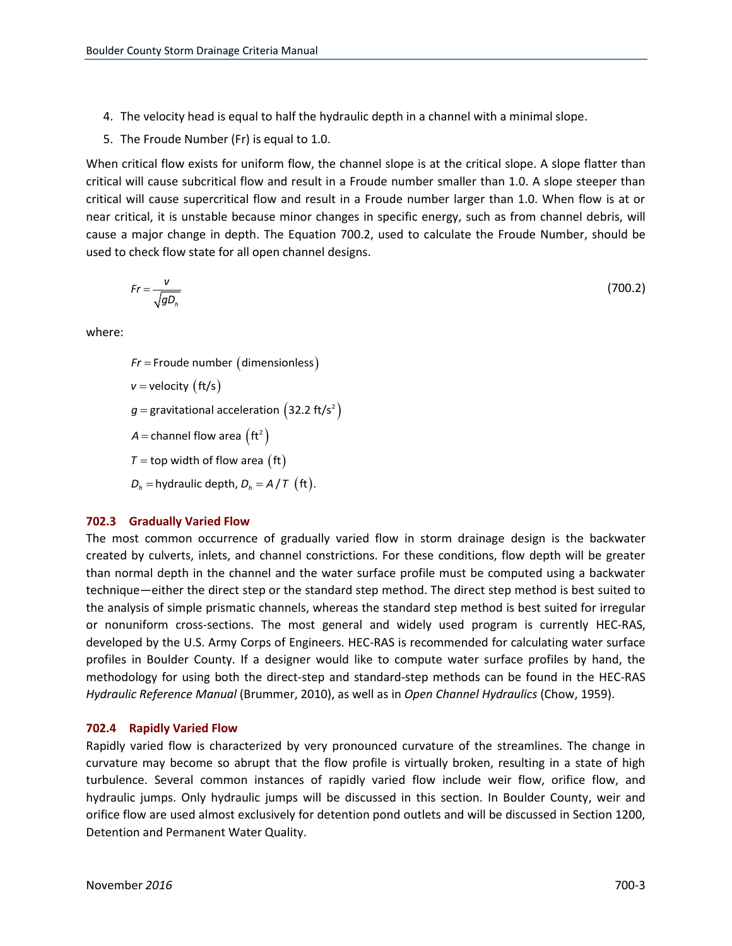- <span id="page-4-0"></span>4. The velocity head is equal to half the hydraulic depth in a channel with a minimal slope.
- 5. The Froude Number (Fr) is equal to 1.0.

When critical flow exists for uniform flow, the channel slope is at the critical slope. A slope flatter than critical will cause subcritical flow and result in a Froude number smaller than 1.0. A slope steeper than critical will cause supercritical flow and result in a Froude number larger than 1.0. When flow is at or near critical, it is unstable because minor changes in specific energy, such as from channel debris, will cause a major change in depth. The Equation 700.2, used to calculate the Froude Number, should be used to check flow state for all open channel designs.

$$
Fr = \frac{v}{\sqrt{g D_h}}\tag{700.2}
$$

where:

 $Fr$  = Froude number (dimensionless) *v* = velocity (ft/s)  $g$  = gravitational acceleration  $(32.2 \text{ ft/s}^2)$  $A =$  channel flow area  $\left(\text{ft}^2\right)$  $\tau$  = top width of flow area  $\begin{pmatrix} \text{ft} \end{pmatrix}$  $D_h$  = hydraulic depth,  $D_h = A / T$  (ft).

#### **702.3 Gradually Varied Flow**

The most common occurrence of gradually varied flow in storm drainage design is the backwater created by culverts, inlets, and channel constrictions. For these conditions, flow depth will be greater than normal depth in the channel and the water surface profile must be computed using a backwater technique—either the direct step or the standard step method. The direct step method is best suited to the analysis of simple prismatic channels, whereas the standard step method is best suited for irregular or nonuniform cross-sections. The most general and widely used program is currently HEC-RAS, developed by the U.S. Army Corps of Engineers. HEC-RAS is recommended for calculating water surface profiles in Boulder County. If a designer would like to compute water surface profiles by hand, the methodology for using both the direct-step and standard-step methods can be found in the HEC-RAS *Hydraulic Reference Manual* (Brummer, 2010), as well as in *Open Channel Hydraulics* (Chow, 1959).

#### **702.4 Rapidly Varied Flow**

Rapidly varied flow is characterized by very pronounced curvature of the streamlines. The change in curvature may become so abrupt that the flow profile is virtually broken, resulting in a state of high turbulence. Several common instances of rapidly varied flow include weir flow, orifice flow, and hydraulic jumps. Only hydraulic jumps will be discussed in this section. In Boulder County, weir and orifice flow are used almost exclusively for detention pond outlets and will be discussed in Section 1200, Detention and Permanent Water Quality.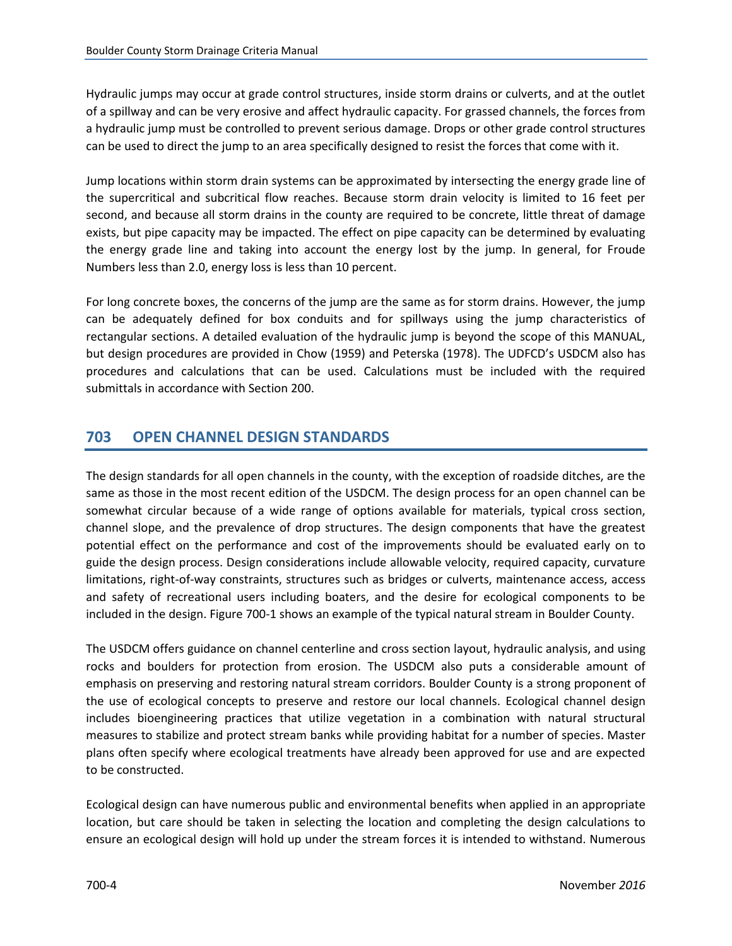<span id="page-5-0"></span>Hydraulic jumps may occur at grade control structures, inside storm drains or culverts, and at the outlet of a spillway and can be very erosive and affect hydraulic capacity. For grassed channels, the forces from a hydraulic jump must be controlled to prevent serious damage. Drops or other grade control structures can be used to direct the jump to an area specifically designed to resist the forces that come with it.

Jump locations within storm drain systems can be approximated by intersecting the energy grade line of the supercritical and subcritical flow reaches. Because storm drain velocity is limited to 16 feet per second, and because all storm drains in the county are required to be concrete, little threat of damage exists, but pipe capacity may be impacted. The effect on pipe capacity can be determined by evaluating the energy grade line and taking into account the energy lost by the jump. In general, for Froude Numbers less than 2.0, energy loss is less than 10 percent.

For long concrete boxes, the concerns of the jump are the same as for storm drains. However, the jump can be adequately defined for box conduits and for spillways using the jump characteristics of rectangular sections. A detailed evaluation of the hydraulic jump is beyond the scope of this MANUAL, but design procedures are provided in Chow (1959) and Peterska (1978). The UDFCD's USDCM also has procedures and calculations that can be used. Calculations must be included with the required submittals in accordance with Section 200.

## **703 OPEN CHANNEL DESIGN STANDARDS**

The design standards for all open channels in the county, with the exception of roadside ditches, are the same as those in the most recent edition of the USDCM. The design process for an open channel can be somewhat circular because of a wide range of options available for materials, typical cross section, channel slope, and the prevalence of drop structures. The design components that have the greatest potential effect on the performance and cost of the improvements should be evaluated early on to guide the design process. Design considerations include allowable velocity, required capacity, curvature limitations, right-of-way constraints, structures such as bridges or culverts, maintenance access, access and safety of recreational users including boaters, and the desire for ecological components to be included in the design. Figure 700-1 shows an example of the typical natural stream in Boulder County.

The USDCM offers guidance on channel centerline and cross section layout, hydraulic analysis, and using rocks and boulders for protection from erosion. The USDCM also puts a considerable amount of emphasis on preserving and restoring natural stream corridors. Boulder County is a strong proponent of the use of ecological concepts to preserve and restore our local channels. Ecological channel design includes bioengineering practices that utilize vegetation in a combination with natural structural measures to stabilize and protect stream banks while providing habitat for a number of species. Master plans often specify where ecological treatments have already been approved for use and are expected to be constructed.

Ecological design can have numerous public and environmental benefits when applied in an appropriate location, but care should be taken in selecting the location and completing the design calculations to ensure an ecological design will hold up under the stream forces it is intended to withstand. Numerous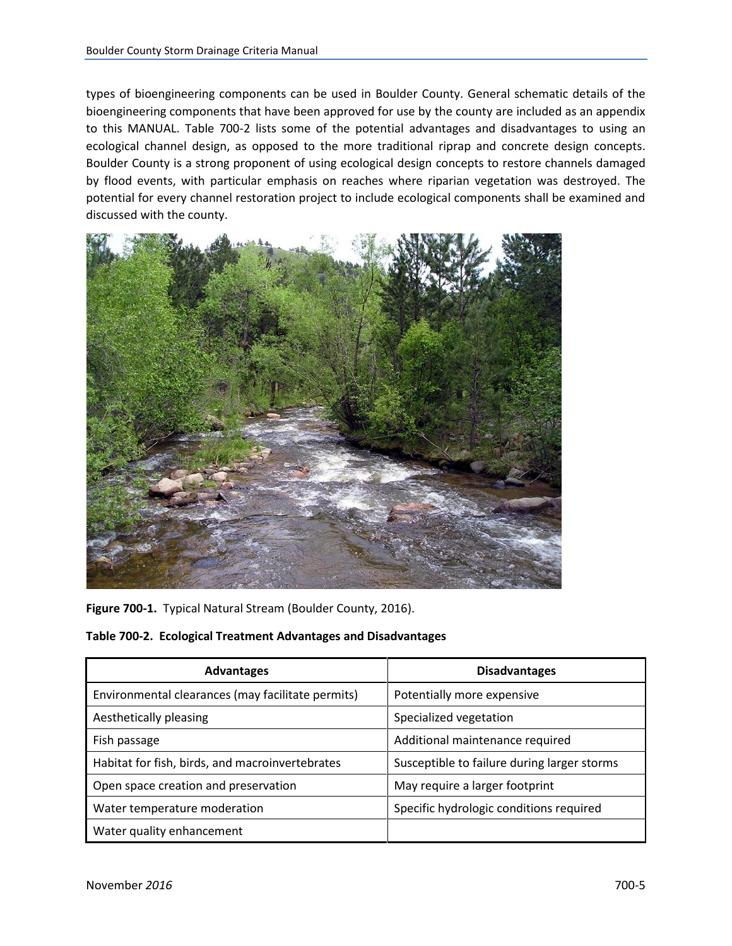<span id="page-6-0"></span>types of bioengineering components can be used in Boulder County. General schematic details of the bioengineering components that have been approved for use by the county are included as an appendix to this MANUAL. Table 700-2 lists some of the potential advantages and disadvantages to using an ecological channel design, as opposed to the more traditional riprap and concrete design concepts. Boulder County is a strong proponent of using ecological design concepts to restore channels damaged by flood events, with particular emphasis on reaches where riparian vegetation was destroyed. The potential for every channel restoration project to include ecological components shall be examined and discussed with the county.



**Figure 700-1.** Typical Natural Stream (Boulder County, 2016).

**Table 700-2. Ecological Treatment Advantages and Disadvantages**

| <b>Advantages</b>                                 | <b>Disadvantages</b>                        |
|---------------------------------------------------|---------------------------------------------|
| Environmental clearances (may facilitate permits) | Potentially more expensive                  |
| Aesthetically pleasing                            | Specialized vegetation                      |
| Fish passage                                      | Additional maintenance required             |
| Habitat for fish, birds, and macroinvertebrates   | Susceptible to failure during larger storms |
| Open space creation and preservation              | May require a larger footprint              |
| Water temperature moderation                      | Specific hydrologic conditions required     |
| Water quality enhancement                         |                                             |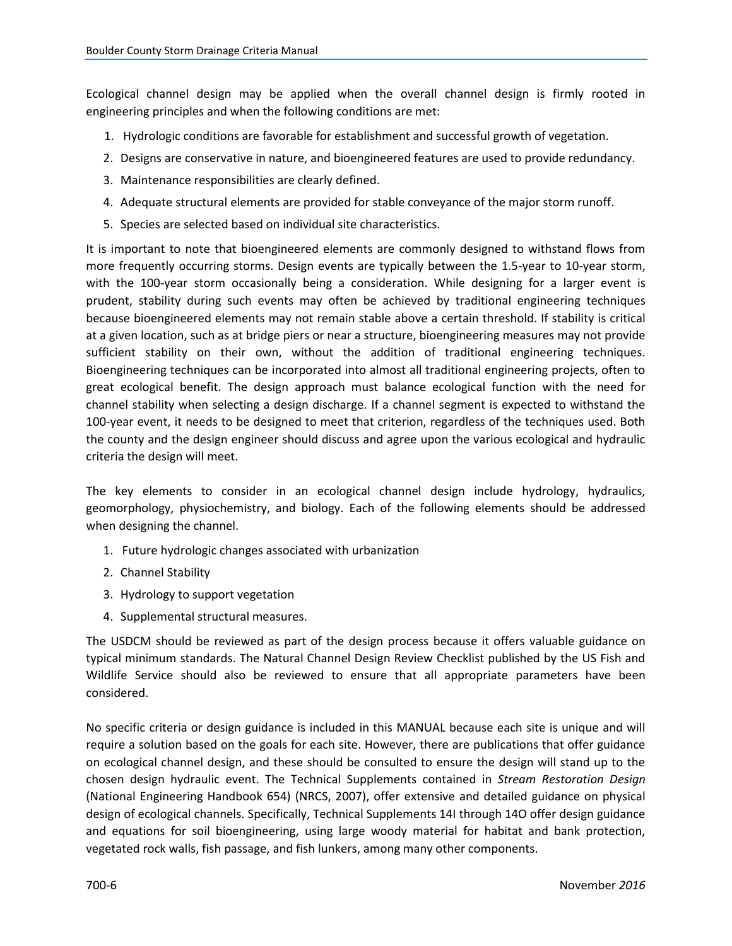Ecological channel design may be applied when the overall channel design is firmly rooted in engineering principles and when the following conditions are met:

- 1. Hydrologic conditions are favorable for establishment and successful growth of vegetation.
- 2. Designs are conservative in nature, and bioengineered features are used to provide redundancy.
- 3. Maintenance responsibilities are clearly defined.
- 4. Adequate structural elements are provided for stable conveyance of the major storm runoff.
- 5. Species are selected based on individual site characteristics.

It is important to note that bioengineered elements are commonly designed to withstand flows from more frequently occurring storms. Design events are typically between the 1.5-year to 10-year storm, with the 100-year storm occasionally being a consideration. While designing for a larger event is prudent, stability during such events may often be achieved by traditional engineering techniques because bioengineered elements may not remain stable above a certain threshold. If stability is critical at a given location, such as at bridge piers or near a structure, bioengineering measures may not provide sufficient stability on their own, without the addition of traditional engineering techniques. Bioengineering techniques can be incorporated into almost all traditional engineering projects, often to great ecological benefit. The design approach must balance ecological function with the need for channel stability when selecting a design discharge. If a channel segment is expected to withstand the 100-year event, it needs to be designed to meet that criterion, regardless of the techniques used. Both the county and the design engineer should discuss and agree upon the various ecological and hydraulic criteria the design will meet.

The key elements to consider in an ecological channel design include hydrology, hydraulics, geomorphology, physiochemistry, and biology. Each of the following elements should be addressed when designing the channel.

- 1. Future hydrologic changes associated with urbanization
- 2. Channel Stability
- 3. Hydrology to support vegetation
- 4. Supplemental structural measures.

The USDCM should be reviewed as part of the design process because it offers valuable guidance on typical minimum standards. The Natural Channel Design Review Checklist published by the US Fish and Wildlife Service should also be reviewed to ensure that all appropriate parameters have been considered.

No specific criteria or design guidance is included in this MANUAL because each site is unique and will require a solution based on the goals for each site. However, there are publications that offer guidance on ecological channel design, and these should be consulted to ensure the design will stand up to the chosen design hydraulic event. The Technical Supplements contained in *Stream Restoration Design* (National Engineering Handbook 654) (NRCS, 2007), offer extensive and detailed guidance on physical design of ecological channels. Specifically, Technical Supplements 14I through 14O offer design guidance and equations for soil bioengineering, using large woody material for habitat and bank protection, vegetated rock walls, fish passage, and fish lunkers, among many other components.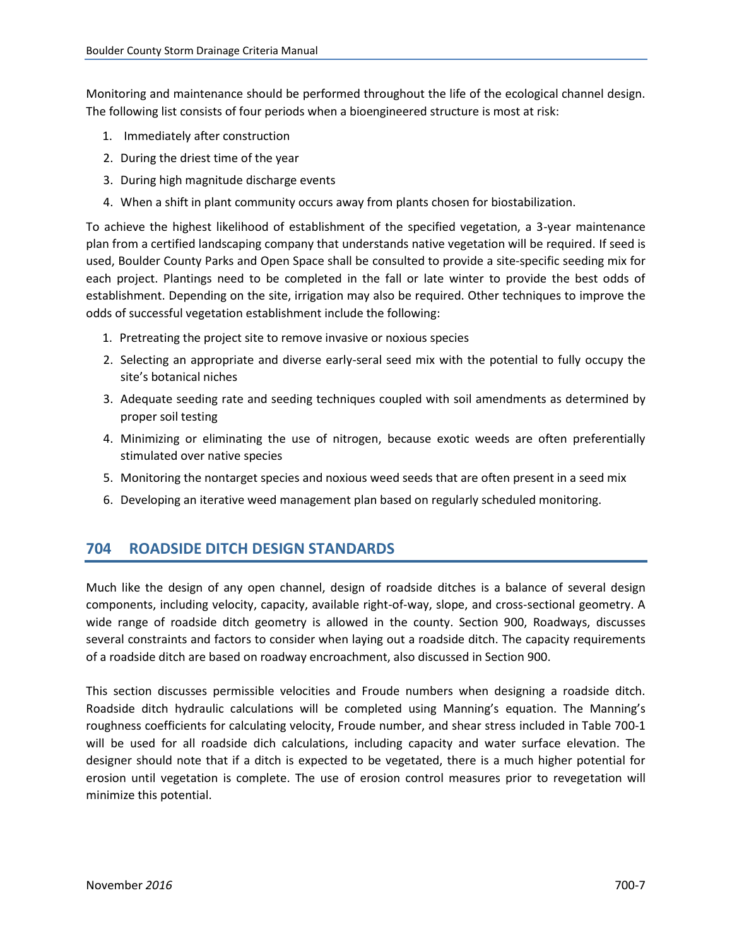<span id="page-8-0"></span>Monitoring and maintenance should be performed throughout the life of the ecological channel design. The following list consists of four periods when a bioengineered structure is most at risk:

- 1. Immediately after construction
- 2. During the driest time of the year
- 3. During high magnitude discharge events
- 4. When a shift in plant community occurs away from plants chosen for biostabilization.

To achieve the highest likelihood of establishment of the specified vegetation, a 3-year maintenance plan from a certified landscaping company that understands native vegetation will be required. If seed is used, Boulder County Parks and Open Space shall be consulted to provide a site-specific seeding mix for each project. Plantings need to be completed in the fall or late winter to provide the best odds of establishment. Depending on the site, irrigation may also be required. Other techniques to improve the odds of successful vegetation establishment include the following:

- 1. Pretreating the project site to remove invasive or noxious species
- 2. Selecting an appropriate and diverse early-seral seed mix with the potential to fully occupy the site's botanical niches
- 3. Adequate seeding rate and seeding techniques coupled with soil amendments as determined by proper soil testing
- 4. Minimizing or eliminating the use of nitrogen, because exotic weeds are often preferentially stimulated over native species
- 5. Monitoring the nontarget species and noxious weed seeds that are often present in a seed mix
- 6. Developing an iterative weed management plan based on regularly scheduled monitoring.

### **704 ROADSIDE DITCH DESIGN STANDARDS**

Much like the design of any open channel, design of roadside ditches is a balance of several design components, including velocity, capacity, available right-of-way, slope, and cross-sectional geometry. A wide range of roadside ditch geometry is allowed in the county. Section 900, Roadways, discusses several constraints and factors to consider when laying out a roadside ditch. The capacity requirements of a roadside ditch are based on roadway encroachment, also discussed in Section 900.

This section discusses permissible velocities and Froude numbers when designing a roadside ditch. Roadside ditch hydraulic calculations will be completed using Manning's equation. The Manning's roughness coefficients for calculating velocity, Froude number, and shear stress included in Table 700-1 will be used for all roadside dich calculations, including capacity and water surface elevation. The designer should note that if a ditch is expected to be vegetated, there is a much higher potential for erosion until vegetation is complete. The use of erosion control measures prior to revegetation will minimize this potential.